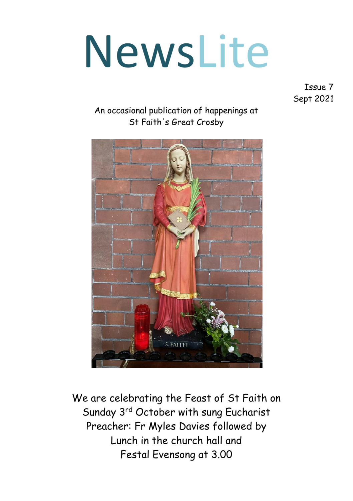# NewsLite

Issue 7 Sept 2021

#### An occasional publication of happenings at St Faith's Great Crosby



We are celebrating the Feast of St Faith on Sunday 3rd October with sung Eucharist Preacher: Fr Myles Davies followed by Lunch in the church hall and Festal Evensong at 3.00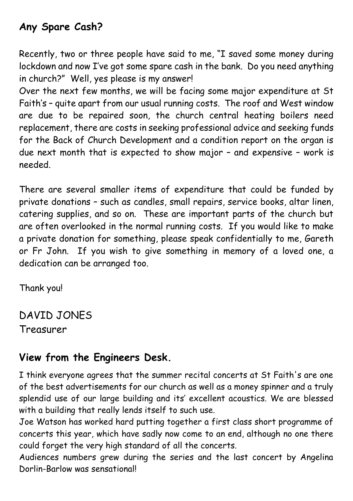## **Any Spare Cash?**

Recently, two or three people have said to me, "I saved some money during lockdown and now I've got some spare cash in the bank. Do you need anything in church?" Well, yes please is my answer!

Over the next few months, we will be facing some major expenditure at St Faith's – quite apart from our usual running costs. The roof and West window are due to be repaired soon, the church central heating boilers need replacement, there are costs in seeking professional advice and seeking funds for the Back of Church Development and a condition report on the organ is due next month that is expected to show major – and expensive – work is needed.

There are several smaller items of expenditure that could be funded by private donations – such as candles, small repairs, service books, altar linen, catering supplies, and so on. These are important parts of the church but are often overlooked in the normal running costs. If you would like to make a private donation for something, please speak confidentially to me, Gareth or Fr John. If you wish to give something in memory of a loved one, a dedication can be arranged too.

Thank you!

DAVID JONES Treasurer

# **View from the Engineers Desk.**

I think everyone agrees that the summer recital concerts at St Faith's are one of the best advertisements for our church as well as a money spinner and a truly splendid use of our large building and its' excellent acoustics. We are blessed with a building that really lends itself to such use.

Joe Watson has worked hard putting together a first class short programme of concerts this year, which have sadly now come to an end, although no one there could forget the very high standard of all the concerts.

Audiences numbers grew during the series and the last concert by Angelina Dorlin-Barlow was sensational!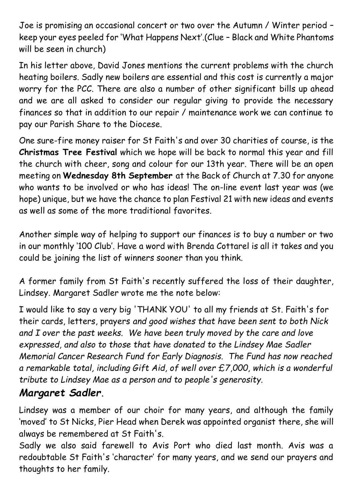Joe is promising an occasional concert or two over the Autumn / Winter period – keep your eyes peeled for 'What Happens Next'.(Clue – Black and White Phantoms will be seen in church)

In his letter above, David Jones mentions the current problems with the church heating boilers. Sadly new boilers are essential and this cost is currently a major worry for the PCC. There are also a number of other significant bills up ahead and we are all asked to consider our regular giving to provide the necessary finances so that in addition to our repair / maintenance work we can continue to pay our Parish Share to the Diocese.

One sure-fire money raiser for St Faith's and over 30 charities of course, is the **Christmas Tree Festival** which we hope will be back to normal this year and fill the church with cheer, song and colour for our 13th year. There will be an open meeting on **Wednesday 8th September** at the Back of Church at 7.30 for anyone who wants to be involved or who has ideas! The on-line event last year was (we hope) unique, but we have the chance to plan Festival 21 with new ideas and events as well as some of the more traditional favorites.

Another simple way of helping to support our finances is to buy a number or two in our monthly '100 Club'. Have a word with Brenda Cottarel is all it takes and you could be joining the list of winners sooner than you think.

A former family from St Faith's recently suffered the loss of their daughter, Lindsey. Margaret Sadler wrote me the note below:

I would like to say a very big 'THANK YOU' to all my friends at St. Faith's for their cards, letters, prayers *and good wishes that have been sent to both Nick and I over the past weeks. We have been truly moved by the care and love expressed, and also to those that have donated to the Lindsey Mae Sadler Memorial Cancer Research Fund for Early Diagnosis. The Fund has now reached a remarkable total, including Gift Aid, of well over £7,000, which is a wonderful tribute to Lindsey Mae as a person and to people's generosity.*

## *Margaret Sadler***.**

Lindsey was a member of our choir for many years, and although the family 'moved' to St Nicks, Pier Head when Derek was appointed organist there, she will always be remembered at St Faith's.

Sadly we also said farewell to Avis Port who died last month. Avis was a redoubtable St Faith's 'character' for many years, and we send our prayers and thoughts to her family.